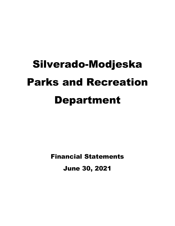# Silverado-Modjeska Parks and Recreation Department

Financial Statements June 30, 2021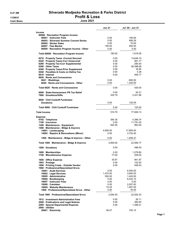|                                                                              | <b>Jun 21</b>  | Jul '20 - Jun 21      |
|------------------------------------------------------------------------------|----------------|-----------------------|
| <b>Income</b>                                                                |                |                       |
| 60000 · Recreation Program Income                                            |                |                       |
| 60001 Instructor Fees                                                        | 0.00           | 184.80                |
| 60003 Silverado Summer Concert Series                                        | 0.00           | 806.29                |
| 60005 Sticker Sales                                                          | 0.00           | 70.00                 |
| 60007 · Flea Market                                                          | 190.00         | 550.00                |
| 60000 · Recreation Program Income - Other                                    | 0.00           | 5.00                  |
| Total 60000 · Recreation Program Income                                      | 190.00         | 1,616.09              |
| 6210 · Property Taxes - Current Secured                                      | 0.00           | 13,646.10             |
| 6220 · Property Taxes-Curr Unsecured                                         | 0.00           | 561.77                |
| 6280 · Property Tax-Curr Supplemental                                        | 0.00           | 280.40                |
| 6290 Other Taxes                                                             | 0.00           | 58,386.68             |
| 6300 · Property Taxes-Prior Supplement                                       | 0.00           | 16.95                 |
| 6540 · Penalties & Costs on Deling Tax                                       | 0.00           | 4.38                  |
| 6610 Interest                                                                | 0.00           | 409.77                |
| 6620 Rents and Concessions                                                   |                |                       |
| 6621 Weddings<br>6620 · Rents and Concessions - Other                        | 0.00<br>0.00   | $-900.00$<br>1,320.00 |
| Total 6620 Rents and Concessions                                             | 0.00           | 420.00                |
|                                                                              |                | 54.31                 |
| 6690 · State-Homeowners PR Tax Relief<br>7960 Donations/Gifts                | 0.00<br>320.79 | 2,431.68              |
| 9000 Chili Cookoff Fundraiser                                                |                |                       |
| <b>Donations</b>                                                             | 0.00           | 120.00                |
| Total 9000 · Chili Cookoff Fundraiser                                        | 0.00           | 120.00                |
| <b>Total Income</b>                                                          | 510.79         | 77,948.13             |
| <b>Expense</b>                                                               |                |                       |
| 0702 · Telephone                                                             | 384.35         | 4,396.74              |
| 1100 · Insurance                                                             | 0.00           | 11,781.00             |
| 1300 · Maintenance - Equipment                                               | 593.55         | 993.55                |
| 1400 · Maintenance - Bldgs & Improvs                                         |                |                       |
| 14001 · Landscaping                                                          | 4,850.00       | 17,695.00             |
| 14002 · Repairs & Renovations (Minor)                                        | 0.00           | 3,752.40              |
| 1400 Maintenance - Bldgs & Improvs - Other                                   | 0.00           | 1,509.37              |
| Total 1400 · Maintenance - Bldgs & Improvs                                   | 4,850.00       | 22,956.77             |
| 1500 Donations                                                               | 0.00           | 496.00                |
| 1600 Memberships                                                             | 0.00           | 1,278.80              |
| 1700 · Miscellaneous Expense                                                 | 77.00          | 228.00                |
| 1800 Office Expense                                                          | 35.97          | 841.87                |
| 1803 · Postage                                                               | 0.00           | 102.00                |
| 1806 · Printing Costs - Outside Vendor                                       | 0.00           | 549.53                |
| 1900 · Professional/Specialized Srvcs                                        |                |                       |
| 19001 · Audit Services                                                       | 0.00           | 6,500.00              |
| 19002 · Legal Services                                                       | 1,470.00       | 3,840.00              |
| 19005 Administrative                                                         | 550.00         | 1,420.00              |
| 19006 · Bookkeeping                                                          | 0.00           | 6,232.15              |
| 19007 · Instructor Fees                                                      | 0.00           | 0.00                  |
| 19008 Caretaker                                                              | 0.00           | 2,937.83              |
| 19009 · Website Maintenance<br>1900 · Professional/Specialized Srvcs - Other | 74.25<br>0.00  | 1,087.00<br>35.05     |
| Total 1900 · Professional/Specialized Srvcs                                  | 2,094.25       | 22,052.03             |
|                                                                              |                |                       |
| 1912 Investment Administrative Fees                                          | 0.00<br>0.00   | 26.11<br>360.00       |
| 2000 · Publications and Legal Notices<br>2400 · Special Deparmental Expense  | 0.00           | 1,389.21              |
| 2800 · Utilities                                                             |                |                       |
| 28001 · Electricity                                                          | 59.47          | 705.15                |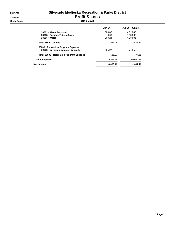#### 8:27 AM Silverado Modjeska Recreation & Parks District 11/09/21 Profit & Loss Cash Basis June 2021

|                                                                       | <b>Jun 21</b> | Jul '20 - Jun 21 |
|-----------------------------------------------------------------------|---------------|------------------|
| 28002 Waste Disposal                                                  | 500.88        | 4.819.03         |
| 28003 · Portable Toilets/Septic                                       | 0.00          | 1.900.00         |
| 28005 Water                                                           | 268.24        | 4.984.95         |
| Total 2800 Utilities                                                  | 828.59        | 12.409.13        |
| 50000 · Recreation Program Expense<br>50003 Silverado Summer Concerts | 535.27        | 774.55           |
| Total 50000 · Recreation Program Expense                              | 535.27        | 774.55           |
| <b>Total Expense</b>                                                  | 9.398.98      | 80,635.29        |
| Net Income                                                            | $-8,888.19$   | $-2,687.16$      |
|                                                                       |               |                  |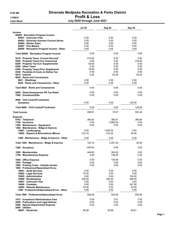Cash Basis July 2020 through June 2021

|                                                                              | Jul 20        | Aug 20       | Sep 20        |
|------------------------------------------------------------------------------|---------------|--------------|---------------|
| <b>Income</b><br>60000 · Recreation Program Income                           |               |              |               |
| 60001 · Instructor Fees                                                      | 0.00          | 0.00         | 0.00          |
| 60003 Silverado Summer Concert Series                                        | 0.00          | 0.00         | 0.00          |
| 60005 · Sticker Sales                                                        | 0.00          | 0.00         | 0.00          |
| 60007 · Flea Market<br>60000 · Recreation Program Income - Other             | 0.00<br>0.00  | 0.00<br>0.00 | 0.00<br>0.00  |
| Total 60000 · Recreation Program Income                                      | 0.00          | 0.00         | 0.00          |
| 6210 · Property Taxes - Current Secured                                      | 413.65        | 0.00         | 0.00          |
| 6220 · Property Taxes-Curr Unsecured                                         | 0.00          | 0.00         | 318.40        |
| 6280 · Property Tax-Curr Supplemental<br>6290 Other Taxes                    | 63.83<br>0.00 | 8.38<br>0.00 | 6.30<br>0.00  |
| 6300 · Property Taxes-Prior Supplement                                       | 16.95         | 0.00         | 0.00          |
| 6540 · Penalties & Costs on Deling Tax                                       | 4.38          | 0.00         | 0.00          |
| 6610 Interest                                                                | 0.00          | 62.29        | 58.54         |
| 6620 Rents and Concessions                                                   |               |              |               |
| 6621 Weddings<br>6620 Rents and Concessions - Other                          | 0.00<br>0.00  | 0.00<br>0.00 | 0.00<br>0.00  |
| Total 6620 · Rents and Concessions                                           | 0.00          | 0.00         | 0.00          |
| 6690 · State-Homeowners PR Tax Relief                                        | 0.00          | 0.00         | 0.00          |
| 7960 Donations/Gifts                                                         | 0.00          | 0.00         | 0.00          |
| 9000 Chili Cookoff Fundraiser<br><b>Donations</b>                            | 0.00          | 0.00         | 120.00        |
| Total 9000 Chili Cookoff Fundraiser                                          | 0.00          | 0.00         | 120.00        |
| <b>Total Income</b>                                                          | 498.81        | 70.67        | 503.24        |
| <b>Expense</b>                                                               | 360.62        | 360.57       | 360.80        |
| 0702 · Telephone<br>1100 · Insurance                                         | 0.00          | 5,890.50     | 0.00          |
| 1300 · Maintenance - Equipment                                               | 0.00          | 0.00         | 0.00          |
| 1400 · Maintenance - Bldgs & Improvs                                         |               |              |               |
| 14001 · Landscaping                                                          | 0.00          | 1,835.00     | 0.00          |
| 14002 · Repairs & Renovations (Minor)                                        | 123.10        | 372.30       | 40.00         |
| 1400 · Maintenance - Bldgs & Improvs - Other                                 | 0.00          | 0.00         | 0.00          |
| Total 1400 · Maintenance - Bldgs & Improvs                                   | 123.10        | 2,207.30     | 40.00         |
| 1500 Donations                                                               | -450.00       | 0.00         | 0.00          |
| 1600 · Memberships                                                           | 449.80        | 350.00       | 0.00          |
| 1700 · Miscellaneous Expense                                                 | 0.00          | 136.00       | 0.00          |
| 1800 Office Expense                                                          | 0.00          | 136.58       | 0.00          |
| 1803 · Postage                                                               | 0.00          | 0.00         | 0.00          |
| 1806 · Printing Costs - Outside Vendor                                       | 0.00          | 0.00         | 0.00          |
| 1900 · Professional/Specialized Srvcs<br>19001 Audit Services                | 0.00          | 0.00         | 0.00          |
| 19002 · Legal Services                                                       | 75.00         | 0.00         | 0.00          |
| 19005 · Administrative                                                       | 0.00          | 0.00         | 154.00        |
| 19006 · Bookkeeping                                                          | 420.00        | 420.00       | 490.00        |
| 19007 · Instructor Fees                                                      | 0.00          | 0.00         | 0.00          |
| 19008 Caretaker                                                              | 0.00          | 0.00         | 247.50        |
| 19009 · Website Maintenance<br>1900 · Professional/Specialized Srvcs - Other | 33.00<br>0.56 | 0.00<br>0.00 | 43.50<br>0.80 |
| Total 1900 · Professional/Specialized Srvcs                                  | 528.56        | 420.00       | 935.80        |
|                                                                              |               |              | 3.02          |
| 1912 Investment Administrative Fees<br>2000 · Publications and Legal Notices | 0.00<br>0.00  | 3.01<br>0.00 | 0.00          |
| 2400 · Special Deparmental Expense                                           | 0.00          | 0.00         | 0.00          |
| 2800 · Utilities                                                             |               |              |               |
| 28001 · Electricity                                                          | 59.36         | 55.88        | 65.61         |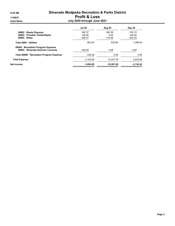|                                                                         | <b>Jul 20</b> | <b>Aug 20</b> | Sep 20      |
|-------------------------------------------------------------------------|---------------|---------------|-------------|
| 28002 · Waste Disposal                                                  | 362.37        | 362.36        | 416.19      |
| 28003 · Portable Toilets/Septic                                         | 190.00        | 0.00          | 190.00      |
| 28005 · Water                                                           | 290.81        | 415.56        | 624.24      |
| Total 2800 · Utilities                                                  | 902.54        | 833.80        | 1.296.04    |
| 50000 · Recreation Program Expense<br>50003 · Silverado Summer Concerts | 239.28        | 0.00          | 0.00        |
| Total 50000 · Recreation Program Expense                                | 239.28        | 0.00          | 0.00        |
| <b>Total Expense</b>                                                    | 2,153.90      | 10.337.76     | 2,635.66    |
| Net Income                                                              | $-1,655.09$   | $-10,267.09$  | $-2,132.42$ |
|                                                                         |               |               |             |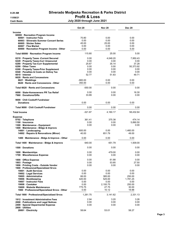Cash Basis July 2020 through June 2021

|                                                                                                                                                                                                                                                                                                                                        | <b>Oct 20</b>                                                                 | <b>Nov 20</b>                                                              | <b>Dec 20</b>                                                                   |
|----------------------------------------------------------------------------------------------------------------------------------------------------------------------------------------------------------------------------------------------------------------------------------------------------------------------------------------|-------------------------------------------------------------------------------|----------------------------------------------------------------------------|---------------------------------------------------------------------------------|
| <b>Income</b><br>60000 · Recreation Program Income<br>60001 · Instructor Fees<br>60003 · Silverado Summer Concert Series<br>60005 · Sticker Sales<br>60007 · Flea Market<br>60000 · Recreation Program Income - Other                                                                                                                  | 70.80<br>0.00<br>45.00<br>0.00<br>0.00                                        | 0.00<br>0.00<br>25.00<br>0.00<br>0.00                                      | 0.00<br>0.00<br>0.00<br>0.00<br>5.00                                            |
| Total 60000 · Recreation Program Income                                                                                                                                                                                                                                                                                                | 115.80                                                                        | 25.00                                                                      | 5.00                                                                            |
| 6210 · Property Taxes - Current Secured<br>6220 · Property Taxes-Curr Unsecured<br>6280 · Property Tax-Curr Supplemental<br>6290 Other Taxes<br>6300 · Property Taxes-Prior Supplement<br>6540 · Penalties & Costs on Deling Tax<br>6610 Interest<br>6620 Rents and Concessions<br>6621 Weddings<br>6620 Rents and Concessions - Other | 0.00<br>0.00<br>25.67<br>0.00<br>0.00<br>0.00<br>52.77<br>$-900.00$<br>350.00 | 4.048.20<br>0.00<br>35.14<br>0.00<br>0.00<br>0.00<br>51.83<br>0.00<br>0.00 | 7.950.43<br>0.00<br>37.28<br>50,373.92<br>0.00<br>0.00<br>49.71<br>0.00<br>0.00 |
| Total 6620 · Rents and Concessions                                                                                                                                                                                                                                                                                                     | $-550.00$                                                                     | 0.00                                                                       | 0.00                                                                            |
| 6690 · State-Homeowners PR Tax Relief<br>7960 Donations/Gifts                                                                                                                                                                                                                                                                          | 0.00<br>33.89                                                                 | 0.00<br>0.00                                                               | 16.30<br>0.00                                                                   |
| 9000 · Chili Cookoff Fundraiser<br><b>Donations</b>                                                                                                                                                                                                                                                                                    | 0.00                                                                          | 0.00                                                                       | 0.00                                                                            |
| Total 9000 Chili Cookoff Fundraiser                                                                                                                                                                                                                                                                                                    | 0.00                                                                          | 0.00                                                                       | 0.00                                                                            |
| <b>Total Income</b>                                                                                                                                                                                                                                                                                                                    | $-321.87$                                                                     | 4,160.17                                                                   | 58,432.64                                                                       |
| <b>Expense</b><br>0702 · Telephone<br>1100 · Insurance<br>1300 · Maintenance - Equipment<br>1400 · Maintenance - Bldgs & Improvs<br>14001 · Landscaping<br>14002 · Repairs & Renovations (Minor)                                                                                                                                       | 361.41<br>0.00<br>0.00<br>600.00<br>40.00                                     | 375.38<br>0.00<br>0.00<br>0.00<br>651.79                                   | 474.14<br>5,890.50<br>0.00<br>1,460.00<br>49.00                                 |
| 1400 · Maintenance - Bldgs & Improvs - Other                                                                                                                                                                                                                                                                                           | 0.00                                                                          | 0.00                                                                       | 0.00                                                                            |
| Total 1400 · Maintenance - Bldgs & Improvs                                                                                                                                                                                                                                                                                             | 640.00                                                                        | 651.79                                                                     | 1,509.00                                                                        |
| 1500 Donations                                                                                                                                                                                                                                                                                                                         | 0.00                                                                          | 0.00                                                                       | 0.00                                                                            |
| 1600 Memberships<br>1700 · Miscellaneous Expense                                                                                                                                                                                                                                                                                       | 0.00<br>0.00                                                                  | 479.00<br>0.00                                                             | 0.00<br>0.00                                                                    |
| 1800 Office Expense<br>1803 · Postage<br>1806 · Printing Costs - Outside Vendor<br>1900 · Professional/Specialized Srvcs                                                                                                                                                                                                               | 0.00<br>0.00<br>0.00                                                          | 61.88<br>53.85<br>0.00                                                     | 0.00<br>27.50<br>0.00                                                           |
| 19001 Audit Services<br>19002 · Legal Services<br>19005 · Administrative<br>19006 · Bookkeeping<br>19007 · Instructor Fees<br>19008 · Caretaker<br>19009 · Website Maintenance<br>1900 · Professional/Specialized Srvcs - Other                                                                                                        | 0.00<br>0.00<br>66.00<br>420.00<br>0.00<br>0.00<br>775.75<br>0.00             | 0.00<br>0.00<br>385.00<br>525.00<br>0.00<br>2,193.75<br>27.75<br>10.12     | 0.00<br>0.00<br>250.00<br>1,781.25<br>0.00<br>250.00<br>30.00<br>19.88          |
| Total 1900 · Professional/Specialized Srvcs                                                                                                                                                                                                                                                                                            | 1,261.75                                                                      | 3,141.62                                                                   | 2,331.13                                                                        |
| 1912 · Investment Administrative Fees<br>2000 · Publications and Legal Notices<br>2400 · Special Deparmental Expense<br>2800 · Utilities                                                                                                                                                                                               | 2.94<br>0.00<br>0.00                                                          | 3.20<br>0.00<br>0.00                                                       | 3.26<br>0.00<br>0.00                                                            |
| 28001 · Electricity                                                                                                                                                                                                                                                                                                                    | 58.64                                                                         | 53.01                                                                      | 58.27                                                                           |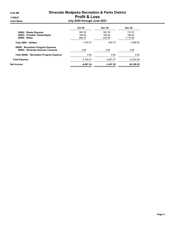|                                                                         | <b>Oct 20</b> | <b>Nov 20</b> | <b>Dec 20</b> |
|-------------------------------------------------------------------------|---------------|---------------|---------------|
| 28002 Waste Disposal                                                    | 362.36        | 362.35        | 137.81        |
| 28003 Portable Toilets/Septic                                           | 190.00        | 190.00        | 190.00        |
| $28005 \cdot Water$                                                     | 868.37        | 235.39        | 1.710.48      |
| Total 2800 · Utilities                                                  | 1.479.37      | 840.75        | 2.096.56      |
| 50000 · Recreation Program Expense<br>50003 · Silverado Summer Concerts | 0.00          | 0.00          | 0.00          |
| Total 50000 · Recreation Program Expense                                | 0.00          | 0.00          | 0.00          |
| <b>Total Expense</b>                                                    | 3,745.47      | 5.607.47      | 12.332.09     |
| Net Income                                                              | $-4.067.34$   | $-1.447.30$   | 46,100.55     |
|                                                                         |               |               |               |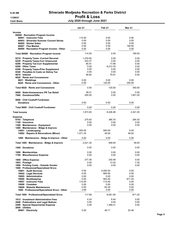Cash Basis July 2020 through June 2021

|                                                                  | <b>Jan 21</b>  | Feb <sub>21</sub> | <b>Mar 21</b>  |
|------------------------------------------------------------------|----------------|-------------------|----------------|
| <b>Income</b><br>60000 · Recreation Program Income               |                |                   |                |
| 60001 · Instructor Fees<br>60003 Silverado Summer Concert Series | 114.00<br>0.00 | 0.00<br>0.00      | 0.00<br>0.00   |
| 60005 · Sticker Sales                                            | 0.00           | 0.00              | 0.00           |
| 60007 · Flea Market                                              | 0.00           | 0.00              | 190.00         |
| 60000 · Recreation Program Income - Other                        | 0.00           | 0.00              | 0.00           |
| Total 60000 · Recreation Program Income                          | 114.00         | 0.00              | 190.00         |
| 6210 · Property Taxes - Current Secured                          | 1,233.82       | 0.00              | 0.00           |
| 6220 · Property Taxes-Curr Unsecured                             | 243.37         | 0.00              | 0.00           |
| 6280 · Property Tax-Curr Supplemental                            | 85.91          | 17.89             | 0.00           |
| 6290 Other Taxes                                                 | 0.00           | 8,012.76          | 0.00           |
| 6300 · Property Taxes-Prior Supplement                           | 0.00<br>0.00   | 0.00<br>0.00      | 0.00<br>0.00   |
| 6540 · Penalties & Costs on Deling Tax<br>6610 Interest          | 58.82          | 75.81             | 0.00           |
| 6620 Rents and Concessions                                       |                |                   |                |
| 6621 Weddings                                                    | 0.00           | 0.00              | 0.00           |
| 6620 Rents and Concessions - Other                               | 0.00           | 120.00            | 350.00         |
| Total 6620 · Rents and Concessions                               | 0.00           | 120.00            | 350.00         |
| 6690 · State-Homeowners PR Tax Relief                            | 38.01          | 0.00              | 0.00           |
| 7960 Donations/Gifts                                             | 200.00         | 0.00              | 1,801.00       |
| 9000 · Chili Cookoff Fundraiser                                  |                |                   |                |
| <b>Donations</b>                                                 | 0.00           | 0.00              | 0.00           |
| Total 9000 · Chili Cookoff Fundraiser                            | 0.00           | 0.00              | 0.00           |
| <b>Total Income</b>                                              | 1,973.93       | 8,226.46          | 2,341.00       |
| <b>Expense</b><br>0702 · Telephone                               | 275.83         | 385.70            | 284.30         |
| 1100 · Insurance                                                 | 0.00           | 0.00              | 0.00           |
| 1300 · Maintenance - Equipment                                   | 0.00           | 0.00              | 0.00           |
| 1400 · Maintenance - Bldgs & Improvs                             |                |                   |                |
| 14001 · Landscaping                                              | 450.00         | 900.00            | 0.00           |
| 14002 · Repairs & Renovations (Minor)                            | 1,571.35       | 49.00             | 49.00          |
| 1400 · Maintenance - Bldgs & Improvs - Other                     | 0.00           | 0.00              | 0.00           |
| Total 1400 · Maintenance - Bldgs & Improvs                       | 2,021.35       | 949.00            | 49.00          |
| 1500 Donations                                                   | 0.00           | 0.00              | 0.00           |
| 1600 Memberships                                                 | 0.00           | 0.00              | 0.00           |
| 1700 · Miscellaneous Expense                                     | 0.00           | 0.00              | 0.00           |
| 1800 Office Expense                                              | 277.36         | 330.08            | 0.00           |
| 1803 · Postage                                                   | 0.00           | 13.30             | 7.35           |
| 1806 · Printing Costs - Outside Vendor                           | 0.00           | 0.00              | 0.00           |
| 1900 · Professional/Specialized Srvcs                            |                |                   |                |
| 19001 · Audit Services                                           | 0.00           | 6,500.00          | 0.00           |
| 19002 · Legal Services                                           | 0.00<br>0.00   | 660.00            | 0.00           |
| 19005 · Administrative<br>19006 · Bookkeeping                    | 0.00           | 0.00<br>953.40    | 0.00<br>671.25 |
| 19007 · Instructor Fees                                          | 114.00         | $-114.00$         | 0.00           |
| 19008 Caretaker                                                  | 0.00           | 0.00              | 0.00           |
| 19009 · Website Maintenance                                      | 0.00           | 62.25             | 0.00           |
| 1900 · Professional/Specialized Srvcs - Other                    | 3.69           | 0.00              | 0.00           |
| Total 1900 · Professional/Specialized Srvcs                      | 117.69         | 8,061.65          | 671.25         |
| 1912 · Investment Administrative Fees                            | 4.24           | 6.44              | 0.00           |
| 2000 · Publications and Legal Notices                            | 0.00           | 0.00              | 0.00           |
| 2400 · Special Deparmental Expense                               | 0.00           | 1,389.21          | 0.00           |
| 2800 · Utilities                                                 |                |                   |                |
| 28001 · Electricity                                              | 0.00           | 48.71             | 52.46          |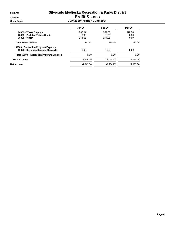|                                                                         | <b>Jan 21</b> | Feb 21      | <b>Mar 21</b> |
|-------------------------------------------------------------------------|---------------|-------------|---------------|
| 28002 Waste Disposal                                                    | 668.14        | 362.39      | 120.78        |
| 28003 · Portable Toilets/Septic                                         | 0.00          | 0.00        | 0.00          |
| $28005 \cdot Water$                                                     | 254.68        | 214.25      | 0.00          |
| Total 2800 · Utilities                                                  | 922.82        | 625.35      | 173 24        |
| 50000 · Recreation Program Expense<br>50003 · Silverado Summer Concerts | 0.00          | 0.00        | 0.00          |
| Total 50000 · Recreation Program Expense                                | 0.00          | 0.00        | 0.00          |
| <b>Total Expense</b>                                                    | 3,619.29      | 11,760.73   | 1,185.14      |
| Net Income                                                              | $-1,645.36$   | $-3,534.27$ | 1,155.86      |
|                                                                         |               |             |               |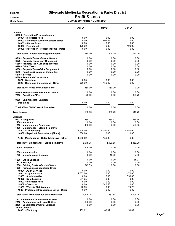Cash Basis July 2020 through June 2021

|                                                                                                                                                                                                                                                                                                                                          | Apr 21                                                                 | <b>May 21</b>                                                          | <b>Jun 21</b>                                                        |
|------------------------------------------------------------------------------------------------------------------------------------------------------------------------------------------------------------------------------------------------------------------------------------------------------------------------------------------|------------------------------------------------------------------------|------------------------------------------------------------------------|----------------------------------------------------------------------|
| <b>Income</b><br>60000 · Recreation Program Income<br>60001 · Instructor Fees<br>60003 · Silverado Summer Concert Series<br>60005 Sticker Sales<br>60007 · Flea Market<br>60000 · Recreation Program Income - Other                                                                                                                      | 0.00<br>0.00<br>0.00<br>170.00<br>0.00                                 | 0.00<br>806.29<br>0.00<br>0.00<br>0.00                                 | 0.00<br>0.00<br>0.00<br>190.00<br>0.00                               |
| Total 60000 · Recreation Program Income                                                                                                                                                                                                                                                                                                  | 170.00                                                                 | 806.29                                                                 | 190.00                                                               |
| 6210 · Property Taxes - Current Secured<br>6220 · Property Taxes-Curr Unsecured<br>6280 · Property Tax-Curr Supplemental<br>6290 Other Taxes<br>6300 · Property Taxes-Prior Supplement<br>6540 · Penalties & Costs on Deling Tax<br>6610 Interest<br>6620 Rents and Concessions<br>6621 · Weddings<br>6620 Rents and Concessions - Other | 0.00<br>0.00<br>0.00<br>0.00<br>0.00<br>0.00<br>0.00<br>0.00<br>350.00 | 0.00<br>0.00<br>0.00<br>0.00<br>0.00<br>0.00<br>0.00<br>0.00<br>150.00 | 0.00<br>0.00<br>0.00<br>0.00<br>0.00<br>0.00<br>0.00<br>0.00<br>0.00 |
| Total 6620 Rents and Concessions                                                                                                                                                                                                                                                                                                         | 350.00                                                                 | 150.00                                                                 | 0.00                                                                 |
| 6690 · State-Homeowners PR Tax Relief<br>7960 Donations/Gifts                                                                                                                                                                                                                                                                            | 0.00<br>76.00                                                          | 0.00<br>0.00                                                           | 0.00<br>320.79                                                       |
| 9000 Chili Cookoff Fundraiser<br><b>Donations</b>                                                                                                                                                                                                                                                                                        | 0.00                                                                   | 0.00                                                                   | 0.00                                                                 |
| Total 9000 Chili Cookoff Fundraiser                                                                                                                                                                                                                                                                                                      | 0.00                                                                   | 0.00                                                                   | 0.00                                                                 |
| <b>Total Income</b>                                                                                                                                                                                                                                                                                                                      | 596.00                                                                 | 956.29                                                                 | 510.79                                                               |
| <b>Expense</b><br>0702 · Telephone<br>1100 · Insurance<br>1300 · Maintenance - Equipment<br>1400 · Maintenance - Bldgs & Improvs<br>14001 · Landscaping<br>14002 · Repairs & Renovations (Minor)                                                                                                                                         | 384.27<br>0.00<br>400.00<br>2,850.00<br>806.86                         | 389.37<br>0.00<br>0.00<br>4,750.00<br>0.00                             | 384.35<br>0.00<br>593.55<br>4,850.00<br>0.00                         |
| 1400 · Maintenance - Bldgs & Improvs - Other                                                                                                                                                                                                                                                                                             | 1,358.52                                                               | 150.85                                                                 | 0.00                                                                 |
| Total 1400 · Maintenance - Bldgs & Improvs                                                                                                                                                                                                                                                                                               | 5,015.38                                                               | 4,900.85                                                               | 4,850.00                                                             |
| 1500 Donations                                                                                                                                                                                                                                                                                                                           | 946.00                                                                 | 0.00                                                                   | 0.00                                                                 |
| 1600 Memberships<br>1700 · Miscellaneous Expense                                                                                                                                                                                                                                                                                         | 0.00<br>0.00                                                           | 0.00<br>15.00                                                          | 0.00<br>77.00                                                        |
| 1800 · Office Expense<br>1803 · Postage<br>1806 · Printing Costs - Outside Vendor<br>1900 · Professional/Specialized Srvcs                                                                                                                                                                                                               | 0.00<br>0.00<br>549.53                                                 | 0.00<br>0.00<br>0.00                                                   | 35.97<br>0.00<br>0.00                                                |
| 19001 · Audit Services<br>19002 · Legal Services<br>19005 · Administrative<br>19006 · Bookkeeping<br>19007 · Instructor Fees<br>19008 Caretaker<br>19009 · Website Maintenance<br>1900 · Professional/Specialized Srvcs - Other                                                                                                          | 0.00<br>1,635.00<br>0.00<br>551.25<br>0.00<br>0.00<br>40.50<br>0.00    | 0.00<br>0.00<br>15.00<br>0.00<br>0.00<br>246.58<br>0.00<br>0.00        | 0.00<br>1,470.00<br>550.00<br>0.00<br>0.00<br>0.00<br>74.25<br>0.00  |
| Total 1900 · Professional/Specialized Srvcs                                                                                                                                                                                                                                                                                              | 2,226.75                                                               | 261.58                                                                 | 2,094.25                                                             |
| 1912 · Investment Administrative Fees<br>2000 · Publications and Legal Notices<br>2400 · Special Deparmental Expense<br>2800 Utilities                                                                                                                                                                                                   | 0.00<br>360.00<br>0.00                                                 | 0.00<br>0.00<br>0.00                                                   | 0.00<br>0.00<br>0.00                                                 |
| 28001 · Electricity                                                                                                                                                                                                                                                                                                                      | 132.92                                                                 | 60.82                                                                  | 59.47                                                                |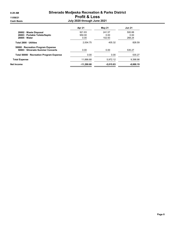|                                                                         | Apr 21       | May 21      | <b>Jun 21</b> |
|-------------------------------------------------------------------------|--------------|-------------|---------------|
| 28002 Waste Disposal                                                    | 921.83       | 241.57      | 500.88        |
| 28003 · Portable Toilets/Septic                                         | 950.00       | 0.00        | 0.00          |
| $28005 \cdot Water$                                                     | 0.00         | 102.93      | 268.24        |
| Total 2800 · Utilities                                                  | 2.004.75     | 405.32      | 828.59        |
| 50000 · Recreation Program Expense<br>50003 · Silverado Summer Concerts | 0.00         | 0.00        | 535.27        |
| Total 50000 · Recreation Program Expense                                | 0.00         | 0.00        | 535.27        |
| <b>Total Expense</b>                                                    | 11.886.68    | 5.972.12    | 9.398.98      |
| Net Income                                                              | $-11,290.68$ | $-5,015.83$ | $-8,888.19$   |
|                                                                         |              |             |               |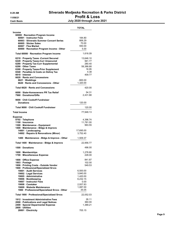|                                                                                                                                                                                                                                                                                                                                            | <b>TOTAL</b>                                                                                   |
|--------------------------------------------------------------------------------------------------------------------------------------------------------------------------------------------------------------------------------------------------------------------------------------------------------------------------------------------|------------------------------------------------------------------------------------------------|
| Income<br>60000 · Recreation Program Income<br>60001 Instructor Fees<br>60003 · Silverado Summer Concert Series<br>60005 · Sticker Sales<br>60007 · Flea Market<br>60000 · Recreation Program Income - Other                                                                                                                               | 184.80<br>806.29<br>70.00<br>550.00<br>5.00                                                    |
| Total 60000 · Recreation Program Income                                                                                                                                                                                                                                                                                                    | 1,616.09                                                                                       |
| 6210 · Property Taxes - Current Secured<br>6220 · Property Taxes-Curr Unsecured<br>6280 · Property Tax-Curr Supplemental<br>6290 Other Taxes<br>6300 · Property Taxes-Prior Supplement<br>6540 · Penalties & Costs on Deling Tax<br>6610 · Interest<br>6620 Rents and Concessions<br>6621 Weddings<br>6620 · Rents and Concessions - Other | 13,646.10<br>561.77<br>280.40<br>58,386.68<br>16.95<br>4.38<br>409.77<br>$-900.00$<br>1,320.00 |
| Total 6620 Rents and Concessions                                                                                                                                                                                                                                                                                                           | 420.00                                                                                         |
| 6690 · State-Homeowners PR Tax Relief<br>7960 Donations/Gifts                                                                                                                                                                                                                                                                              | 54.31<br>2,431.68                                                                              |
| 9000 Chili Cookoff Fundraiser<br><b>Donations</b>                                                                                                                                                                                                                                                                                          | 120.00                                                                                         |
| Total 9000 Chili Cookoff Fundraiser                                                                                                                                                                                                                                                                                                        | 120.00                                                                                         |
| <b>Total Income</b>                                                                                                                                                                                                                                                                                                                        | 77,948.13                                                                                      |
| <b>Expense</b><br>0702 · Telephone<br>1100 · Insurance<br>1300 · Maintenance - Equipment<br>1400 · Maintenance - Bldgs & Improvs<br>14001 · Landscaping<br>14002 · Repairs & Renovations (Minor)                                                                                                                                           | 4,396.74<br>11,781.00<br>993.55<br>17,695.00<br>3,752.40                                       |
| 1400 · Maintenance - Bldgs & Improvs - Other                                                                                                                                                                                                                                                                                               | 1,509.37                                                                                       |
| Total 1400 · Maintenance - Bldgs & Improvs                                                                                                                                                                                                                                                                                                 | 22,956.77                                                                                      |
| 1500 Donations                                                                                                                                                                                                                                                                                                                             | 496.00                                                                                         |
| 1600 · Memberships<br>1700 · Miscellaneous Expense                                                                                                                                                                                                                                                                                         | 1,278.80<br>228.00                                                                             |
| 1800 · Office Expense<br>1803 · Postage<br>1806 · Printing Costs - Outside Vendor<br>1900 · Professional/Specialized Srvcs                                                                                                                                                                                                                 | 841.87<br>102.00<br>549.53                                                                     |
| 19001 · Audit Services<br>19002 · Legal Services<br>19005 · Administrative<br>19006 · Bookkeeping<br>19007 · Instructor Fees<br>19008 · Caretaker<br>19009 · Website Maintenance<br>1900 · Professional/Specialized Srvcs - Other                                                                                                          | 6,500.00<br>3,840.00<br>1,420.00<br>6,232.15<br>0.00<br>2,937.83<br>1,087.00<br>35.05          |
| Total 1900 · Professional/Specialized Srvcs                                                                                                                                                                                                                                                                                                | 22,052.03                                                                                      |
| 1912 · Investment Administrative Fees<br>2000 · Publications and Legal Notices<br>2400 · Special Deparmental Expense<br>2800 · Utilities                                                                                                                                                                                                   | 26.11<br>360.00<br>1,389.21                                                                    |
| 28001 · Electricity                                                                                                                                                                                                                                                                                                                        | 705.15                                                                                         |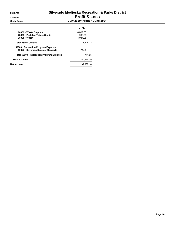|                                                                         | <b>TOTAL</b> |
|-------------------------------------------------------------------------|--------------|
| 28002 Waste Disposal                                                    | 4.819.03     |
| 28003 · Portable Toilets/Septic                                         | 1.900.00     |
| $28005 \cdot Water$                                                     | 4.984.95     |
| Total 2800 Utilities                                                    | 12.409.13    |
| 50000 · Recreation Program Expense<br>50003 · Silverado Summer Concerts | 774.55       |
| Total 50000 · Recreation Program Expense                                | 774.55       |
| <b>Total Expense</b>                                                    | 80.635.29    |
| Net Income                                                              | $-2,687.16$  |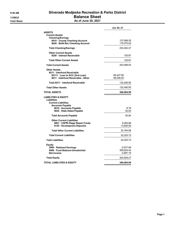# 8:59 AM Silverado Modjeska Recreation & Parks District 11/09/21 Balance Sheet

**Cash Basis** Cash Basis **As of June 30, 2021** 

|                                                                                                                                                       | Jun 30, 21                             |
|-------------------------------------------------------------------------------------------------------------------------------------------------------|----------------------------------------|
| <b>ASSETS</b><br><b>Current Assets</b>                                                                                                                |                                        |
| <b>Checking/Savings</b><br>8010 County Checking Account<br>8020 · BofA Rec Checking Account                                                           | 137,088.35<br>116,375.02               |
| <b>Total Checking/Savings</b>                                                                                                                         | 253,463.37                             |
| <b>Other Current Assets</b><br>8250 · Interest Receivable                                                                                             | 125.67                                 |
| <b>Total Other Current Assets</b>                                                                                                                     | 125.67                                 |
| <b>Total Current Assets</b>                                                                                                                           | 253,589.04                             |
| <b>Other Assets</b><br>8211 · Interfund Receivable<br>82111 · Loan to SCC (2nd Loan)<br>8211 Interfund Receivable - Other                             | 66,447.95<br>66,048.00                 |
| Total 8211 · Interfund Receivable                                                                                                                     | 132,495.95                             |
| <b>Total Other Assets</b>                                                                                                                             | 132,495.95                             |
| TOTAL ASSETS                                                                                                                                          | 386,084.99                             |
| LIABILITIES & EQUITY<br>Liabilities<br><b>Current Liabilities</b><br><b>Accounts Payable</b><br>9010 · Accounts Payable<br>9025 · Stale Dated Payable | -9.16<br>50.00                         |
| <b>Total Accounts Payable</b>                                                                                                                         | 40.84                                  |
| <b>Other Current Liabilities</b><br>9001 CAPRI Stage Repair Funds<br>9120 Development Deposits                                                        | 8,584.88<br>13,600.00                  |
| <b>Total Other Current Liabilities</b>                                                                                                                | 22,184.88                              |
| <b>Total Current Liabilities</b>                                                                                                                      | 22,225.72                              |
| <b>Total Liabilities</b>                                                                                                                              | 22,225.72                              |
| Equity<br>3900 · Retained Earnings<br>9990 Fund Balance-Unrestricted<br><b>Net Income</b>                                                             | -2,977.99<br>369,524.42<br>$-2,687.16$ |
| <b>Total Equity</b>                                                                                                                                   | 363,859.27                             |
| TOTAL LIABILITIES & EQUITY                                                                                                                            | 386,084.99                             |
|                                                                                                                                                       |                                        |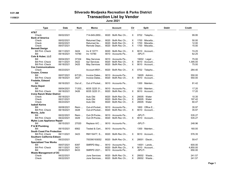## 9:01 AM Silverado Modjeska Recreation & Parks District 11/09/21 Transaction List by Vendor

June 2021

| Type                               | <b>Date</b> | Num    | Memo                 | <b>Account</b>           | Clr            | <b>Split</b>          | <b>Debit</b> | Credit   |
|------------------------------------|-------------|--------|----------------------|--------------------------|----------------|-----------------------|--------------|----------|
| AT&T                               |             |        |                      |                          |                |                       |              |          |
| Check                              | 06/02/2021  |        | 714-649-2850         | $8020 \cdot$ BofA Rec Ch | X              | $0702 \cdot$ Telepho  |              | 99.95    |
| <b>Bank of America</b>             |             |        |                      |                          |                |                       |              |          |
| Check                              | 06/02/2021  |        | Returned Dep         | 8020 · BofA Rec Ch       | X              | $1700 \cdot$ Miscella |              | 50.00    |
| Check                              | 06/02/2021  |        | Returned Ite         | $8020 \cdot$ BofA Rec Ch | X              | 1700 · Miscella       |              | 12.00    |
| Check                              | 06/07/2021  |        | Remote Depo          | 8020 · BofA Rec Ch       | X              | 1700 · Miscella       |              | 15.00    |
| <b>Bennett Design</b>              |             |        |                      |                          |                |                       |              |          |
| <b>Bill Pmt - Check</b>            | 06/11/2021  | 3424   | Inv # 10771          | 8020 · BofA Rec Ch       | X              | $9010 \cdot$ Account  |              | 74.25    |
| Bill                               | 06/18/2021  | 10780  | Inv 10780            | 9010 · Accounts Pa       |                | -SPLIT-               |              | 62.25    |
| Cole & Huber, LLC                  |             |        |                      |                          |                |                       |              |          |
| Bill                               | 06/04/2021  | 37334  | May Services         | 9010 Accounts Pa         |                | 19002 · Legal         |              | 75.00    |
| <b>Bill Pmt - Check</b>            | 06/11/2021  | 3422   | Apr Services         | $8020 \cdot$ BofA Rec Ch | X              | 9010 · Account        |              | 1,395.00 |
| <b>Bill Pmt - Check</b>            | 06/18/2021  | 3425   | May Services         | 8020 · BofA Rec Ch       | X              | $9010 \cdot$ Account  |              | 75.00    |
| <b>Cox Communications</b>          |             |        |                      |                          |                |                       |              |          |
| Check                              | 06/23/2021  |        | Account #001         | 8020 · BofA Rec Ch       | X              | $0702 \cdot$ Telepho  |              | 284.40   |
| Cruzan, Cressa                     |             |        |                      |                          |                |                       |              |          |
| Bill                               | 06/07/2021  | 6/7/20 | Invoice Dates        | 9010 · Accounts Pa       |                | $19005 \cdot$ Admini  |              | 550.00   |
| <b>Bill Pmt -Check</b>             | 06/18/2021  | 3427   | Invoice Dates        | $8020 \cdot$ BofA Rec Ch | X              | $9010 \cdot$ Account  |              | 550.00   |
| <b>Fredette, Edward</b>            |             |        |                      |                          |                |                       |              |          |
| Bill                               | 06/16/2021  | Out of | Out of Pocket        | 9010 · Accounts Pa       |                | $1300 \cdot$ Mainten  |              | 81.42    |
| <b>Home Depot</b>                  |             |        |                      |                          |                |                       |              |          |
| Bill                               | 06/04/2021  | 71202  | 6035 3225 31         | $9010 \cdot$ Accounts Pa |                | $1300 \cdot$ Mainten  |              | 17.20    |
| <b>Bill Pmt - Check</b>            | 06/18/2021  | 3426   | 6035 3225 31         | 8020 · BofA Rec Ch       | X              | 9010 · Account        |              | 17.20    |
| <b>Irvine Ranch Water District</b> |             |        |                      |                          |                |                       |              |          |
| Check                              | 06/18/2021  |        | Auto Dbt             | $8020 \cdot$ BofA Rec Ch | X              | $28005 \cdot Water$   |              | 10.35    |
| Check                              | 06/21/2021  |        | Auto Dbt             | $8020 \cdot$ BofA Rec Ch | X              | $28005 \cdot Water$   |              | 197.42   |
| Check                              | 06/23/2021  |        | Auto Dbt             | 8020 · BofA Rec Ch       | X              | $28005 \cdot Water$   |              | 60.47    |
| <b>Isabell Kerins</b>              |             |        |                      |                          |                |                       |              |          |
| Bill                               | 06/08/2021  | Reim   | Out-of-Pocket        | $9010 \cdot$ Accounts Pa |                | 1800 · Office E       |              | 35.97    |
| <b>Bill Pmt - Check</b>            | 06/18/2021  | 3428   | Out-of-Pocket        | 8020 · BofA Rec Ch       | X.             | $9010 \cdot$ Account  |              | 35.97    |
| Morris, Julie                      |             |        |                      |                          |                |                       |              |          |
| Bill                               | 06/22/2021  | Reim   | Out-Of-Pocke         | 9010 · Accounts Pa       |                | -SPLIT-               |              | 535.27   |
| <b>Bill Pmt - Check</b>            | 06/22/2021  | 3429   | Out-Of-Pocke         | 8020 · BofA Rec Ch       | $\times$       | 9010 · Account        |              | 535.27   |
| Myles Luas Appliance Repair        |             |        |                      |                          |                |                       |              |          |
| Bill                               | 06/15/2021  | 27020  | Replace A/C          | 9010 Accounts Pa         |                | -SPLIT-               |              | 248.96   |
| P & M Plumbing                     |             |        |                      |                          |                |                       |              |          |
| Bill                               | 06/15/2021  | 6562   | Tested & Cert        | 9010 $\cdot$ Accounts Pa |                | $1300 \cdot$ Mainten  |              | 160.00   |
| <b>South Coast Fire Protection</b> |             |        |                      |                          |                |                       |              |          |
| <b>Bill Pmt - Check</b>            | 06/11/2021  | 3423   | RM116477, S          | $8020 \cdot$ BofA Rec Ch | X              | $9010 \cdot$ Account  |              | 576.35   |
| <b>Southern California Edison</b>  |             |        |                      |                          |                |                       |              |          |
| Check                              | 06/23/2021  |        | 700390193052         | $8020 \cdot$ BofA Rec Ch | X              | $28001 \cdot$ Electri |              | 59.47    |
| <b>Specialized Tree Works</b>      |             |        |                      |                          |                |                       |              |          |
| Bill                               | 06/07/2021  | 8397   |                      | 9010 · Accounts Pa       |                | $14001 \cdot$ Lands   |              | 600.00   |
|                                    | 06/11/2021  |        | SMRPD May            | $8020 \cdot$ BofA Rec Ch | $\mathsf{X}^-$ | $9010 \cdot$ Account  |              |          |
| <b>Bill Pmt -Check</b>             |             | 3421   |                      |                          |                |                       |              | 4,850.00 |
| Bill                               | 06/30/2021  | 8433   | SMRPD 2021           | 9010 Accounts Pa         |                | -SPLIT-               |              | 650.00   |
| <b>Waste Management of OC</b>      |             |        |                      |                          |                |                       |              |          |
| Check                              | 06/22/2021  |        | <b>June Services</b> | $8020 \cdot$ BofA Rec Ch | X              | 28002 · Waste         |              | 241.57   |
| Check                              | 06/22/2021  |        | June Services        | 8020 · BofA Rec Ch       | $\times$       | 28002 · Waste         |              | 241.57   |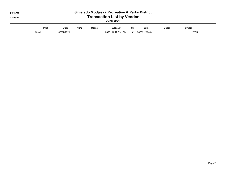| $9:01$ AM<br>11/09/21 | <b>Silverado Modjeska Recreation &amp; Parks District</b><br><b>Transaction List by Vendor</b><br><b>June 2021</b> |                           |            |      |                                              |     |                               |              |                        |
|-----------------------|--------------------------------------------------------------------------------------------------------------------|---------------------------|------------|------|----------------------------------------------|-----|-------------------------------|--------------|------------------------|
|                       | Type<br>Check                                                                                                      | <b>Date</b><br>06/22/2021 | <b>Num</b> | Memo | <b>Account</b><br>$8020 \cdot$ BofA Rec Ch X | Cir | <b>Split</b><br>28002 · Waste | <b>Debit</b> | <b>Credit</b><br>17.74 |